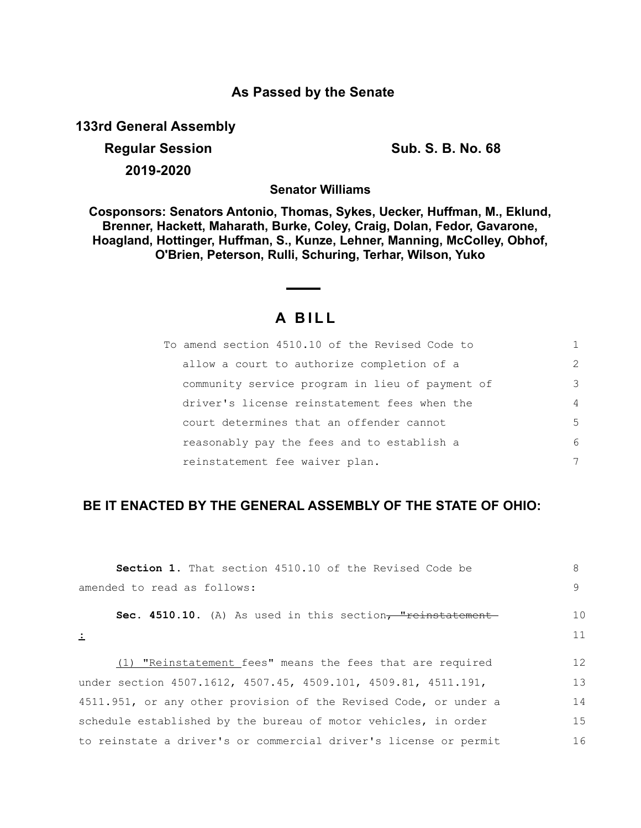## **As Passed by the Senate**

**133rd General Assembly**

**Regular Session Sub. S. B. No. 68 2019-2020**

**Senator Williams**

**Cosponsors: Senators Antonio, Thomas, Sykes, Uecker, Huffman, M., Eklund, Brenner, Hackett, Maharath, Burke, Coley, Craig, Dolan, Fedor, Gavarone, Hoagland, Hottinger, Huffman, S., Kunze, Lehner, Manning, McColley, Obhof, O'Brien, Peterson, Rulli, Schuring, Terhar, Wilson, Yuko**

## **A B I L L**

| To amend section 4510.10 of the Revised Code to |                |
|-------------------------------------------------|----------------|
| allow a court to authorize completion of a      | $\mathcal{P}$  |
| community service program in lieu of payment of | 3              |
| driver's license reinstatement fees when the    | $\overline{4}$ |
| court determines that an offender cannot        | 5              |
| reasonably pay the fees and to establish a      | 6              |
| reinstatement fee waiver plan.                  | 7              |

## **BE IT ENACTED BY THE GENERAL ASSEMBLY OF THE STATE OF OHIO:**

| Section 1. That section 4510.10 of the Revised Code be           | 8  |
|------------------------------------------------------------------|----|
| amended to read as follows:                                      | 9  |
| Sec. 4510.10. (A) As used in this section, "reinstatement-       | 10 |
| $\pm$                                                            | 11 |
| (1) "Reinstatement fees" means the fees that are required        | 12 |
| under section 4507.1612, 4507.45, 4509.101, 4509.81, 4511.191,   | 13 |
| 4511.951, or any other provision of the Revised Code, or under a | 14 |
| schedule established by the bureau of motor vehicles, in order   | 15 |
| to reinstate a driver's or commercial driver's license or permit | 16 |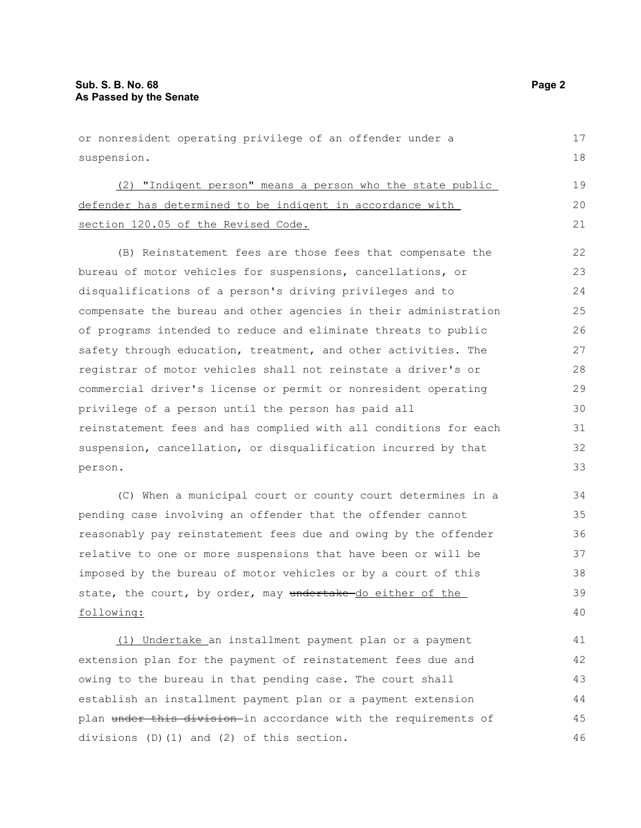or nonresident operating privilege of an offender under a suspension. (2) "Indigent person" means a person who the state public defender has determined to be indigent in accordance with section 120.05 of the Revised Code. (B) Reinstatement fees are those fees that compensate the bureau of motor vehicles for suspensions, cancellations, or disqualifications of a person's driving privileges and to compensate the bureau and other agencies in their administration of programs intended to reduce and eliminate threats to public safety through education, treatment, and other activities. The registrar of motor vehicles shall not reinstate a driver's or commercial driver's license or permit or nonresident operating privilege of a person until the person has paid all reinstatement fees and has complied with all conditions for each suspension, cancellation, or disqualification incurred by that person. (C) When a municipal court or county court determines in a pending case involving an offender that the offender cannot reasonably pay reinstatement fees due and owing by the offender relative to one or more suspensions that have been or will be imposed by the bureau of motor vehicles or by a court of this 17 18 19 20 21 22 23 24 25 26 27 28 29 30 31 32 33 34 35 36 37 38

following:

(1) Undertake an installment payment plan or a payment extension plan for the payment of reinstatement fees due and owing to the bureau in that pending case. The court shall establish an installment payment plan or a payment extension plan under this division in accordance with the requirements of divisions (D)(1) and (2) of this section. 41 42 43 44 45 46

state, the court, by order, may undertake do either of the

39 40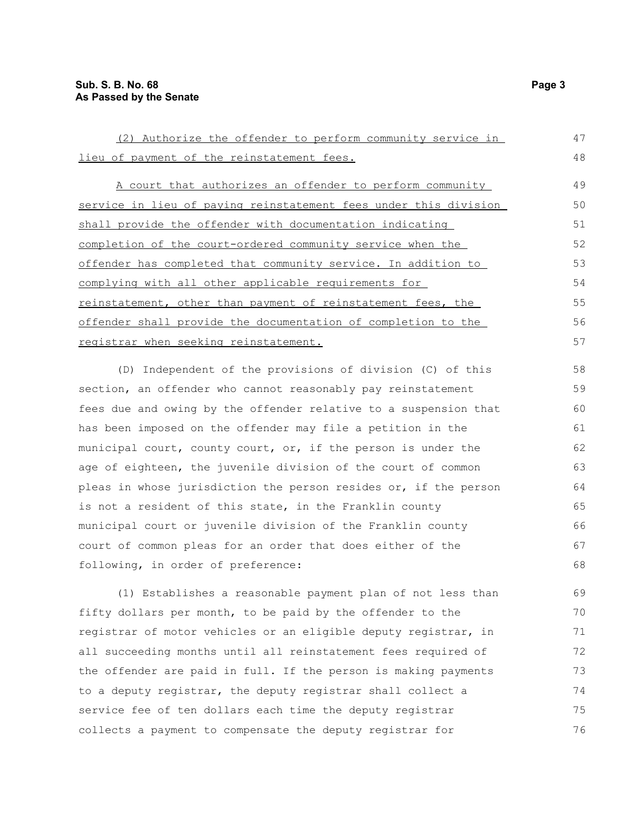| (2) Authorize the offender to perform community service in       | 47 |
|------------------------------------------------------------------|----|
| lieu of payment of the reinstatement fees.                       | 48 |
| A court that authorizes an offender to perform community         | 49 |
| service in lieu of paying reinstatement fees under this division | 50 |
| shall provide the offender with documentation indicating         | 51 |
| completion of the court-ordered community service when the       | 52 |
| offender has completed that community service. In addition to    | 53 |
| complying with all other applicable requirements for             | 54 |
| reinstatement, other than payment of reinstatement fees, the     | 55 |
| offender shall provide the documentation of completion to the    | 56 |
| registrar when seeking reinstatement.                            | 57 |
| (D) Independent of the provisions of division (C) of this        | 58 |
| section, an offender who cannot reasonably pay reinstatement     | 59 |
| fees due and owing by the offender relative to a suspension that | 60 |
| has been imposed on the offender may file a petition in the      | 61 |
| municipal court, county court, or, if the person is under the    | 62 |
| age of eighteen, the juvenile division of the court of common    | 63 |
| pleas in whose jurisdiction the person resides or, if the person | 64 |
| is not a resident of this state, in the Franklin county          | 65 |
| municipal court or juvenile division of the Franklin county      | 66 |
| court of common pleas for an order that does either of the       | 67 |
| following, in order of preference:                               | 68 |
| (1) Establishes a reasonable payment plan of not less than       | 69 |
| fifty dollars per month, to be paid by the offender to the       | 70 |
| registrar of motor vehicles or an eligible deputy registrar, in  | 71 |
| all succeeding months until all reinstatement fees required of   | 72 |
| the offender are paid in full. If the person is making payments  | 73 |
| to a deputy registrar, the deputy registrar shall collect a      | 74 |

service fee of ten dollars each time the deputy registrar collects a payment to compensate the deputy registrar for

75 76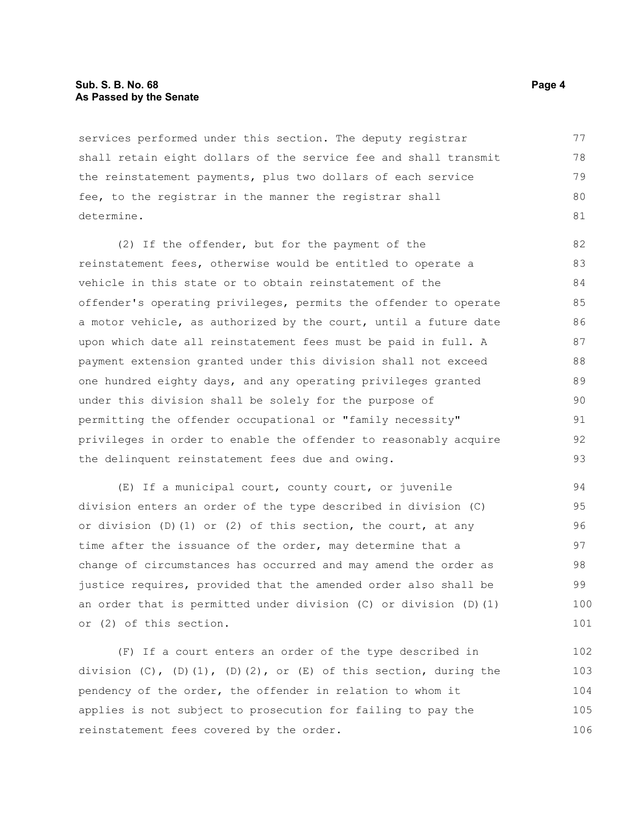## **Sub. S. B. No. 68 Page 4 As Passed by the Senate**

services performed under this section. The deputy registrar shall retain eight dollars of the service fee and shall transmit the reinstatement payments, plus two dollars of each service fee, to the registrar in the manner the registrar shall determine. 77 78 79 80 81

(2) If the offender, but for the payment of the reinstatement fees, otherwise would be entitled to operate a vehicle in this state or to obtain reinstatement of the offender's operating privileges, permits the offender to operate a motor vehicle, as authorized by the court, until a future date upon which date all reinstatement fees must be paid in full. A payment extension granted under this division shall not exceed one hundred eighty days, and any operating privileges granted under this division shall be solely for the purpose of permitting the offender occupational or "family necessity" privileges in order to enable the offender to reasonably acquire the delinquent reinstatement fees due and owing. 82 83 84 85 86 87 88 89 90 91 92 93

(E) If a municipal court, county court, or juvenile division enters an order of the type described in division (C) or division  $(D)$   $(1)$  or  $(2)$  of this section, the court, at any time after the issuance of the order, may determine that a change of circumstances has occurred and may amend the order as justice requires, provided that the amended order also shall be an order that is permitted under division (C) or division (D)(1) or (2) of this section. 94 95 96 97 98 99 100 101

(F) If a court enters an order of the type described in division  $(C)$ ,  $(D)$  $(1)$ ,  $(D)$  $(2)$ , or  $(E)$  of this section, during the pendency of the order, the offender in relation to whom it applies is not subject to prosecution for failing to pay the reinstatement fees covered by the order. 102 103 104 105 106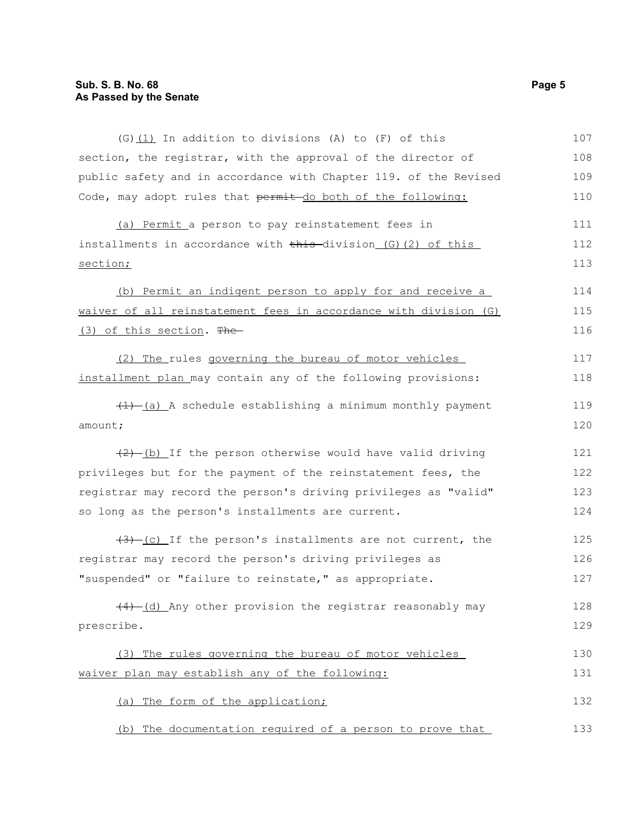| (G) (1) In addition to divisions (A) to (F) of this              | 107 |
|------------------------------------------------------------------|-----|
| section, the registrar, with the approval of the director of     | 108 |
| public safety and in accordance with Chapter 119. of the Revised | 109 |
| Code, may adopt rules that permit-do both of the following:      | 110 |
| (a) Permit a person to pay reinstatement fees in                 | 111 |
| installments in accordance with this division (G) (2) of this    | 112 |
| section;                                                         | 113 |
| (b) Permit an indigent person to apply for and receive a         | 114 |
| waiver of all reinstatement fees in accordance with division (G) | 115 |
| (3) of this section. The                                         | 116 |
| (2) The rules governing the bureau of motor vehicles             | 117 |
| installment plan may contain any of the following provisions:    | 118 |
| $(1)$ (a) A schedule establishing a minimum monthly payment      | 119 |
| amount;                                                          | 120 |
| $(2)$ (b) If the person otherwise would have valid driving       | 121 |
| privileges but for the payment of the reinstatement fees, the    | 122 |
| registrar may record the person's driving privileges as "valid"  | 123 |
| so long as the person's installments are current.                | 124 |
| $(3)$ (c) If the person's installments are not current, the      | 125 |
| registrar may record the person's driving privileges as          | 126 |
| "suspended" or "failure to reinstate," as appropriate.           | 127 |
| $(4)$ (d) Any other provision the registrar reasonably may       | 128 |
| prescribe.                                                       | 129 |
| (3) The rules governing the bureau of motor vehicles             | 130 |
| waiver plan may establish any of the following:                  | 131 |
| (a) The form of the application;                                 | 132 |
| (b) The documentation required of a person to prove that         | 133 |